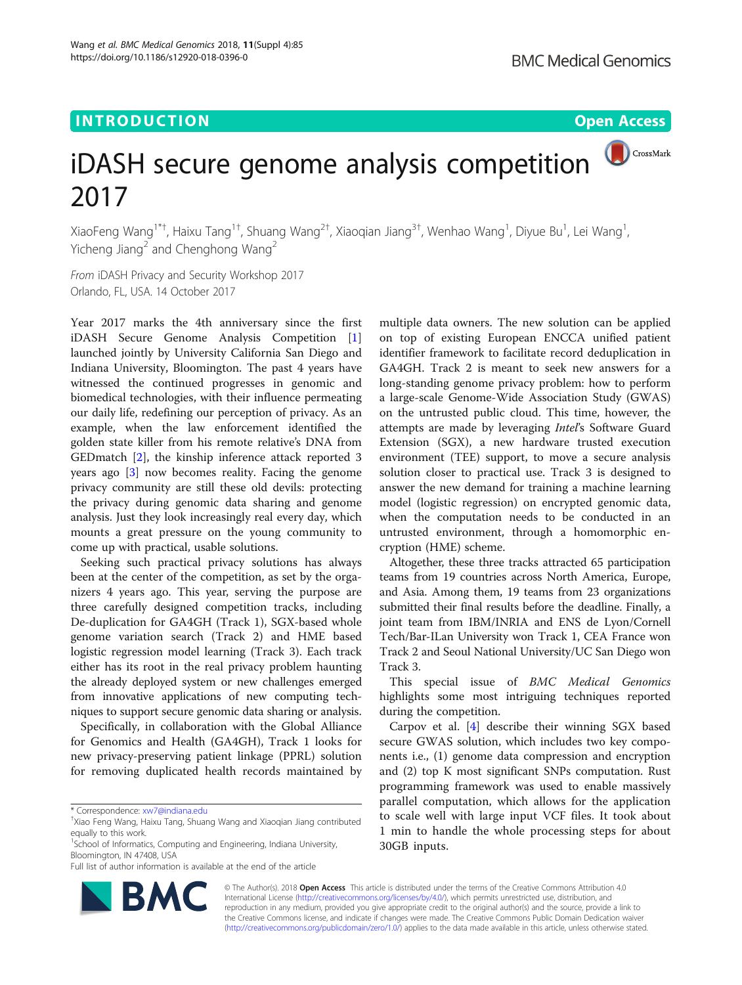# **INTRODUCTION CONSUMING THE OPEN ACCESS**



CrossMark

# iDASH secure genome analysis competition 2017

XiaoFeng Wang<sup>1\*†</sup>, Haixu Tang<sup>1†</sup>, Shuang Wang<sup>2†</sup>, Xiaoqian Jiang<sup>3†</sup>, Wenhao Wang<sup>1</sup>, Diyue Bu<sup>1</sup>, Lei Wang<sup>1</sup> , Yicheng Jiang<sup>2</sup> and Chenghong Wang<sup>2</sup>

From iDASH Privacy and Security Workshop 2017 Orlando, FL, USA. 14 October 2017

Year 2017 marks the 4th anniversary since the first iDASH Secure Genome Analysis Competition [\[1](#page-1-0)] launched jointly by University California San Diego and Indiana University, Bloomington. The past 4 years have witnessed the continued progresses in genomic and biomedical technologies, with their influence permeating our daily life, redefining our perception of privacy. As an example, when the law enforcement identified the golden state killer from his remote relative's DNA from GEDmatch [[2\]](#page-1-0), the kinship inference attack reported 3 years ago [[3\]](#page-1-0) now becomes reality. Facing the genome privacy community are still these old devils: protecting the privacy during genomic data sharing and genome analysis. Just they look increasingly real every day, which mounts a great pressure on the young community to come up with practical, usable solutions.

Seeking such practical privacy solutions has always been at the center of the competition, as set by the organizers 4 years ago. This year, serving the purpose are three carefully designed competition tracks, including De-duplication for GA4GH (Track 1), SGX-based whole genome variation search (Track 2) and HME based logistic regression model learning (Track 3). Each track either has its root in the real privacy problem haunting the already deployed system or new challenges emerged from innovative applications of new computing techniques to support secure genomic data sharing or analysis.

Specifically, in collaboration with the Global Alliance for Genomics and Health (GA4GH), Track 1 looks for new privacy-preserving patient linkage (PPRL) solution for removing duplicated health records maintained by

<sup>1</sup>School of Informatics, Computing and Engineering, Indiana University, Bloomington, IN 47408, USA

Full list of author information is available at the end of the article



multiple data owners. The new solution can be applied on top of existing European ENCCA unified patient identifier framework to facilitate record deduplication in GA4GH. Track 2 is meant to seek new answers for a long-standing genome privacy problem: how to perform a large-scale Genome-Wide Association Study (GWAS) on the untrusted public cloud. This time, however, the attempts are made by leveraging Intel's Software Guard Extension (SGX), a new hardware trusted execution environment (TEE) support, to move a secure analysis solution closer to practical use. Track 3 is designed to answer the new demand for training a machine learning model (logistic regression) on encrypted genomic data, when the computation needs to be conducted in an untrusted environment, through a homomorphic encryption (HME) scheme.

Altogether, these three tracks attracted 65 participation teams from 19 countries across North America, Europe, and Asia. Among them, 19 teams from 23 organizations submitted their final results before the deadline. Finally, a joint team from IBM/INRIA and ENS de Lyon/Cornell Tech/Bar-ILan University won Track 1, CEA France won Track 2 and Seoul National University/UC San Diego won Track 3.

This special issue of BMC Medical Genomics highlights some most intriguing techniques reported during the competition.

Carpov et al. [\[4](#page-1-0)] describe their winning SGX based secure GWAS solution, which includes two key components i.e., (1) genome data compression and encryption and (2) top K most significant SNPs computation. Rust programming framework was used to enable massively parallel computation, which allows for the application to scale well with large input VCF files. It took about 1 min to handle the whole processing steps for about 30GB inputs.

© The Author(s). 2018 Open Access This article is distributed under the terms of the Creative Commons Attribution 4.0 International License [\(http://creativecommons.org/licenses/by/4.0/](http://creativecommons.org/licenses/by/4.0/)), which permits unrestricted use, distribution, and reproduction in any medium, provided you give appropriate credit to the original author(s) and the source, provide a link to the Creative Commons license, and indicate if changes were made. The Creative Commons Public Domain Dedication waiver [\(http://creativecommons.org/publicdomain/zero/1.0/](http://creativecommons.org/publicdomain/zero/1.0/)) applies to the data made available in this article, unless otherwise stated.

<sup>\*</sup> Correspondence: [xw7@indiana.edu](mailto:xw7@indiana.edu) †

Xiao Feng Wang, Haixu Tang, Shuang Wang and Xiaoqian Jiang contributed equally to this work.